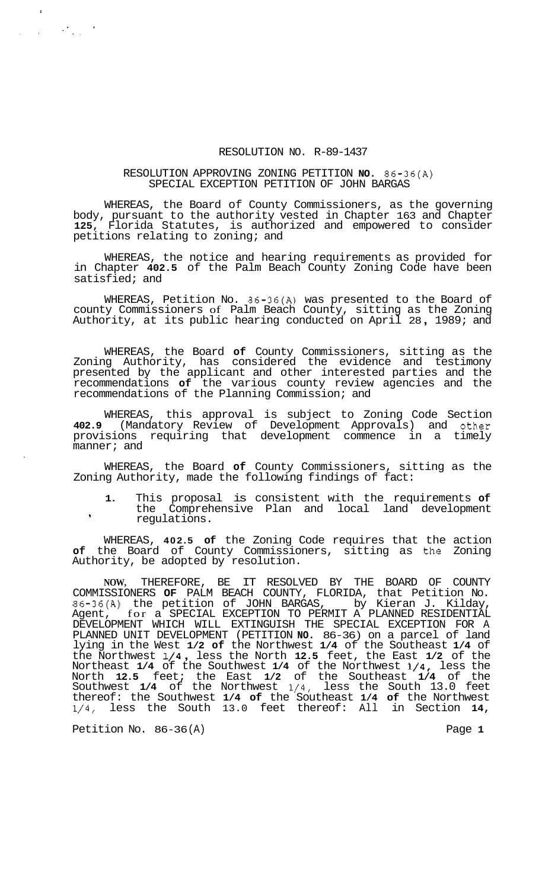## RESOLUTION NO. R-89-1437

## RESOLUTION APPROVING ZONING PETITION **NO.** 86-36(A) SPECIAL EXCEPTION PETITION OF JOHN BARGAS

WHEREAS, the Board of County Commissioners, as the governing body, pursuant to the authority vested in Chapter 163 and Chapter **125,** Florida Statutes, is authorized and empowered to consider petitions relating to zoning; and

WHEREAS, the notice and hearing requirements as provided for in Chapter **402.5** of the Palm Beach County Zoning Code have been satisfied; and

WHEREAS, Petition No. 86-36(A) was presented to the Board of county Commissioners of Palm Beach County, sitting as the Zoning Authority, at its public hearing conducted on April 28 , 1989; and

WHEREAS, the Board **of** County Commissioners, sitting as the Zoning Authority, has considered the evidence and testimony presented by the applicant and other interested parties and the recommendations **of** the various county review agencies and the recommendations of the Planning Commission; and

WHEREAS, this approval is subject to Zoning Code Section **402.9** (Mandatory Review of Development Approvals) and -other provisions requiring that development commence in a timely manner; and

WHEREAS, the Board **of** County Commissioners, sitting as the Zoning Authority, made the following findings of fact:

**1.** This proposal is consistent with the requirements **of**  the Comprehensive Plan and local land development regulations. **<sup>I</sup>**

WHEREAS, **402.5 of** the Zoning Code requires that the action **of** the Board of County Commissioners, sitting as th,e Zoning Authority, be adopted by resolution.

**NOW,** THEREFORE, BE IT RESOLVED BY THE BOARD OF COUNTY COMMISSIONERS **OF** PALM BEACH COUNTY, FLORIDA, that Petition No. 86-36(A) the petition of JOHN BARGAS, by Kieran J. Kilday, Agent, for a SPECIAL EXCEPTION TO PERMIT A PLANNED RESIDENTIAL DEVELOPMENT WHICH WILL EXTINGUISH THE SPECIAL EXCEPTION FOR A PLANNED UNIT DEVELOPMENT (PETITION **NO.** 86-36) on a parcel of land lying in the West **1/2 of** the Northwest **1/4** of the Southeast **1/4** of the Northwest **1/4** , less the North **12.5** feet, the East **1/2** of the Northeast **1/4** of the Southwest **1/4** of the Northwest **1/4,** less the North **12.5** feet; the East **1/2** of the Southeast **1/4** of the Southwest **1/4** of the Northwest **1/4,** less the South 13.0 feet thereof: the Southwest **1/4 of** the Southeast **1/4 of** the Northwest **1/4,** less the South 13.0 feet thereof: All in Section **14,** 

Petition No. 86-36(A) Petition No. 86-36(A)

 $\label{eq:2.1} \frac{1}{2}\left(\frac{1}{2}\right)^2\left(\frac{1}{2}\right)^2\left(\frac{1}{2}\right)^2\left(\frac{1}{2}\right)^2\left(\frac{1}{2}\right)^2\left(\frac{1}{2}\right)^2\left(\frac{1}{2}\right)^2.$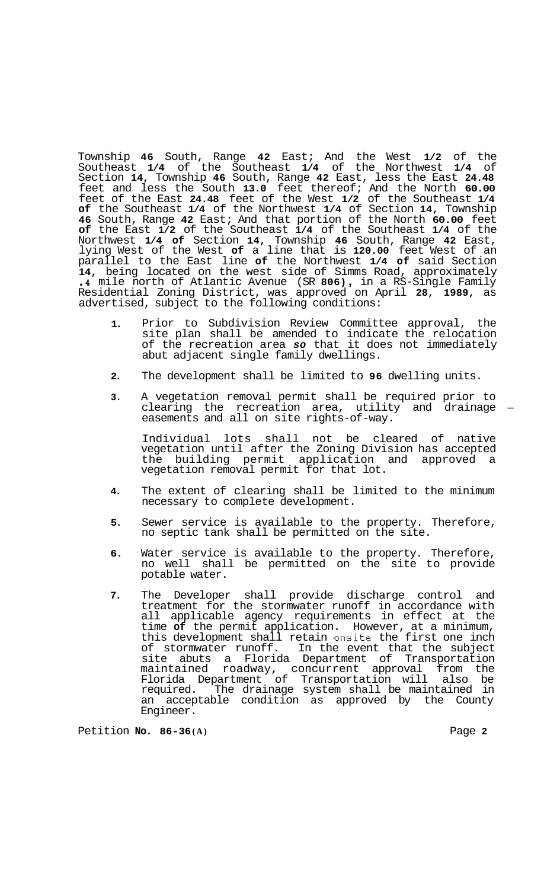Township **46** South, Range **42** East; And the West **1/2** of the Southeast **1/4** of the Southeast **1/4** of the Northwest **1/4** of Section **14,** Township **46** South, Range **42** East, less the East **24.48**  feet and less the South **13.0** feet thereof; And the North **60.00**  feet of the East **24.48** feet of the West **1/2** of the Southeast **1/4 of** the Southeast **1/4** of the Northwest **1/4** of Section **14,** Township **46** South, Range **42** East; And that portion of the North **60.00** feet **of** the East **1/2** of the Southeast **1/4** of the Southeast **1/4** of the Northwest **1/4 of** Section **14,** Township **46** South, Range **42** East, lying West of the West **of** a line that is **120.00** feet West of an parallel to the East line **of** the Northwest **1/4 of** said Section **14,** being located on the west side of Simms Road, approximately **.4** mile north of Atlantic Avenue (SR **806)** , in a RS-Single Family Residential Zoning District, was approved on April **28, 1989,** as advertised, subject to the following conditions:

- **1.**  Prior to Subdivision Review Committee approval, the site plan shall be amended to indicate the relocation of the recreation area *so* that it does not immediately abut adjacent single family dwellings.
- **2.**  The development shall be limited to **96** dwelling units.
- **3.**  A vegetation removal permit shall be required prior to clearing the recreation area, utility and drainage  $$ easements and all on site rights-of-way.

Individual lots shall not be cleared of native vegetation until after the Zoning Division has accepted the building permit application and approved a vegetation removal permit for that lot.

- **4.**  The extent of clearing shall be limited to the minimum necessary to complete development.
- **5.**  Sewer service is available to the property. Therefore, no septic tank shall be permitted on the site.
- **6.**  Water service is available to the property. Therefore, no well shall be permitted on the site to provide potable water.
- **7.**  The Developer shall provide discharge control and treatment for the stormwater runoff in accordance with all applicable agency requirements in effect at the time **of** the permit application. However, at a minimum, this development shall retain onsite the first one inch of stormwater runoff. In the event that the subject site abuts a Florida Department of Transportation maintained roadway, concurrent approval from the Florida Department of Transportation will also be required. The drainage system shall be maintained in an acceptable condition as approved by the County Engineer.

Petition **No. 86-36 (A)** Page **2**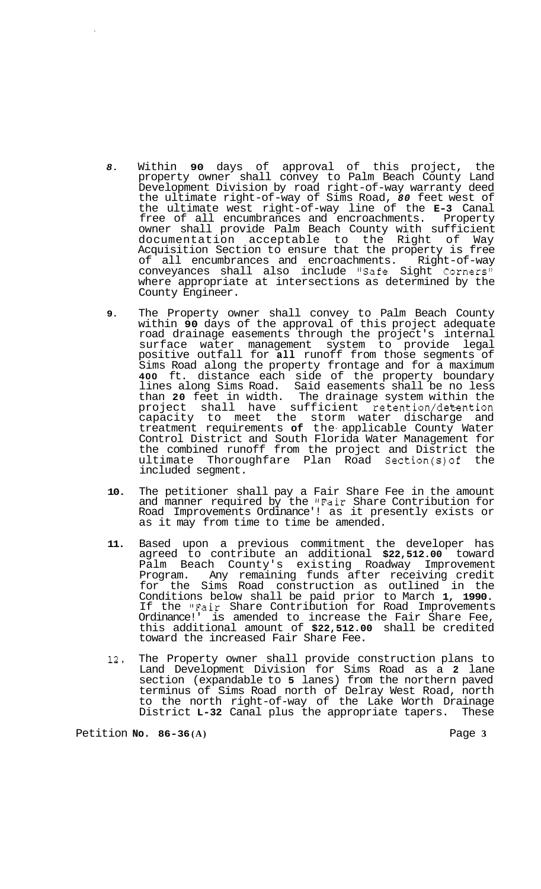- *8.* Within **90** days of approval of this project, the property owner shall convey to Palm Beach County Land Development Division by road right-of-way warranty deed the ultimate right-of-way of Sims Road, *80* feet west of the ultimate west right-of-way line of the **E-3** Canal free of all encumbrances and encroachments. Property owner shall provide Palm Beach County with sufficient documentation acceptable to the Right of Way Acquisition Section to ensure that the property is free of all encumbrances and encroachments. Right-of-way conveyances shall also include "Safe Sight Corners!' where appropriate at intersections as determined by the County Engineer.
- **9.** The Property owner shall convey to Palm Beach County within **90** days of the approval of this project adequate road drainage easements through the project's internal surface water management system to provide legal positive outfall for **all** runoff from those segments of Sims Road along the property frontage and for a maximum **400** ft. distance each side of the property boundary lines along Sims Road. Said easements shall be no less than **20** feet in width. The drainage system within the project shall have sufficient retention/dekention capacity to meet the storm water discharge and treatment requirements **of** the- applicable County Water Control District and South Florida Water Management for the combined runoff from the project and District the ultimate Thoroughfare Plan Road Section(s)of the included segment.
- **10.** The petitioner shall pay a Fair Share Fee in the amount and manner required by the "Fair Share Contribution for Road Improvements Ordinance'! as it presently exists or as it may from time to time be amended.
- **11.** Based upon a previous commitment the developer has agreed to contribute an additional **\$22,512.00** toward Palm Beach County's existing Roadway Improvement Program. Any remaining funds after receiving credit for the Sims Road construction as outlined in the Conditions below shall be paid prior to March **1, 1990.**  If the "Fair Share Contribution for Road Improvements Ordinance!' is amended to increase the Fair Share Fee, this additional amount of **\$22,512.00** shall be credited toward the increased Fair Share Fee.
- **12.** The Property owner shall provide construction plans to Land Development Division for Sims Road as a **2** lane section (expandable to **5** lanes) from the northern paved terminus of Sims Road north of Delray West Road, north to the north right-of-way of the Lake Worth Drainage District **L-32** Canal plus the appropriate tapers. These

Petition **No. 86-36 (A)** Page **3**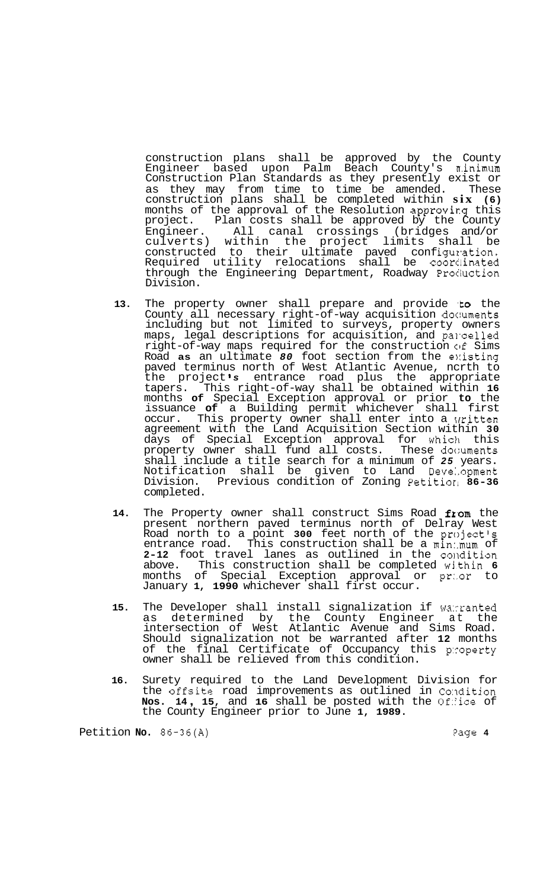construction plans shall be approved by the County Engineer based upon Palm Beach County's minimum Construction Plan Standards as they presently exist or as they may from time to time be amended. These construction plans shall be completed within **six (6)**  months of the approval of the Resolution approvirg this project. Plan costs shall be approved by the County Engineer. All canal crossings (bridges and/or culverts) within the project limits shall be constructed to their ultimate paved configuration. Required utility relocations shall be coordinated through the Engineering Department, Roadway Procluction Division.

- 13. The property owner shall prepare and provide to the County all necessary right-of-way acquisition doc:uments including but not limited to surveys, property owners maps, legal descriptions for acquisition, and parcelled right-of-way maps required for the construction of Sims Road **as** an ultimate *80* foot section from the e1:isting paved terminus north of West Atlantic Avenue, ncrth to the project *s* entrance road plus the appropriate tapers. This right-of-way shall be obtained within **16**  months **of** Special Exception approval or prior **to** the issuance **of** a Building permit whichever shall first occur. This property owner shall enter into a Written agreement with the Land Acquisition Section within **30**  days of Special Exception approval for whiclh this property owner shall fund all costs. These doc:uments shall include a title search for a minimum of *25* years. Notification shall be given to Land Deve:.opment Division. Previous condition of Zoning Petitiorl **86-36**  completed.
- 14. The Property owner shall construct Sims Road from the present northern paved terminus north of Delray West Road north to a point **300** feet north of the project's entrance road. This construction shall be a min:.mum of 2-12 foot travel lanes as outlined in the condition above. This construction shall be completed within **6**  months of Special Exception approval or pr:.or to January **1, 1990** whichever shall first occur.
- **15.** The Developer shall install signalization if wa:rranted as determined by the County Engineer at the intersection of West Atlantic Avenue and Sims Road. Should signalization not be warranted after **12** months of the final Certificate of Occupancy this p:coperty owner shall be relieved from this condition.
- **16.** Surety required to the Land Development Division for the offsite road improvements as outlined in Condition<br>**Nos. 14, 15,** and 16 shall be posted with the Office of the County Engineer prior to June **1, 1989.**

Petition **No.** 86-36(A) *Petition* **Page 4**